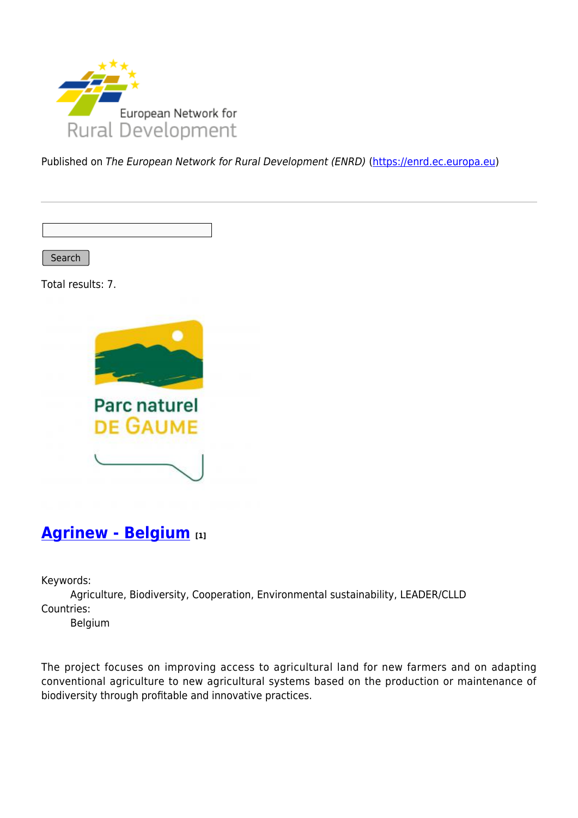

Published on The European Network for Rural Development (ENRD) [\(https://enrd.ec.europa.eu](https://enrd.ec.europa.eu))

Search

Total results: 7.



### **[Agrinew - Belgium](https://enrd.ec.europa.eu/projects-practice/agrinew-belgium_en) [1]**

Keywords:

Agriculture, Biodiversity, Cooperation, Environmental sustainability, LEADER/CLLD Countries:

Belgium

The project focuses on improving access to agricultural land for new farmers and on adapting conventional agriculture to new agricultural systems based on the production or maintenance of biodiversity through profitable and innovative practices.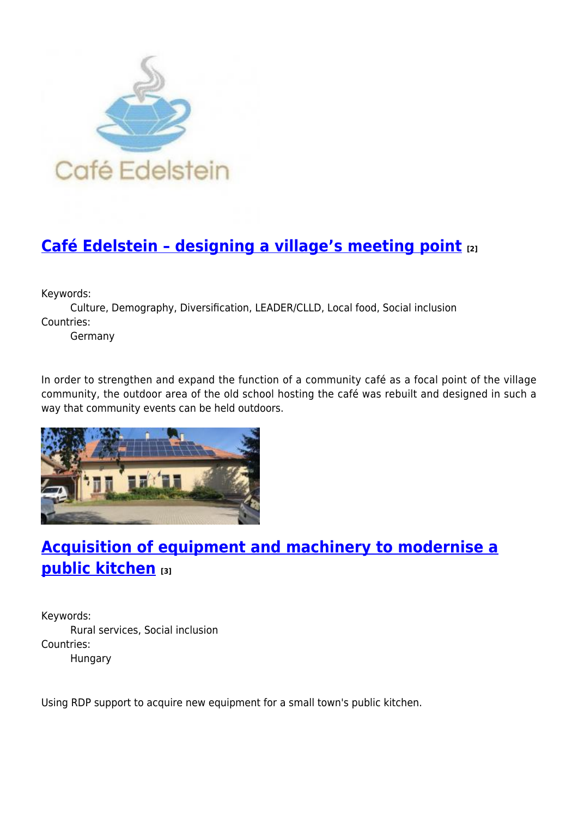

# **[Café Edelstein – designing a village's meeting point](https://enrd.ec.europa.eu/projects-practice/cafe-edelstein-designing-villages-meeting-point_en) [2]**

Keywords:

Culture, Demography, Diversification, LEADER/CLLD, Local food, Social inclusion Countries:

Germany

In order to strengthen and expand the function of a community café as a focal point of the village community, the outdoor area of the old school hosting the café was rebuilt and designed in such a way that community events can be held outdoors.



## **[Acquisition of equipment and machinery to modernise a](https://enrd.ec.europa.eu/projects-practice/acquisition-equipment-and-machinery-modernise-public-kitchen_en) [public kitchen](https://enrd.ec.europa.eu/projects-practice/acquisition-equipment-and-machinery-modernise-public-kitchen_en) [3]**

Keywords: Rural services, Social inclusion Countries: Hungary

Using RDP support to acquire new equipment for a small town's public kitchen.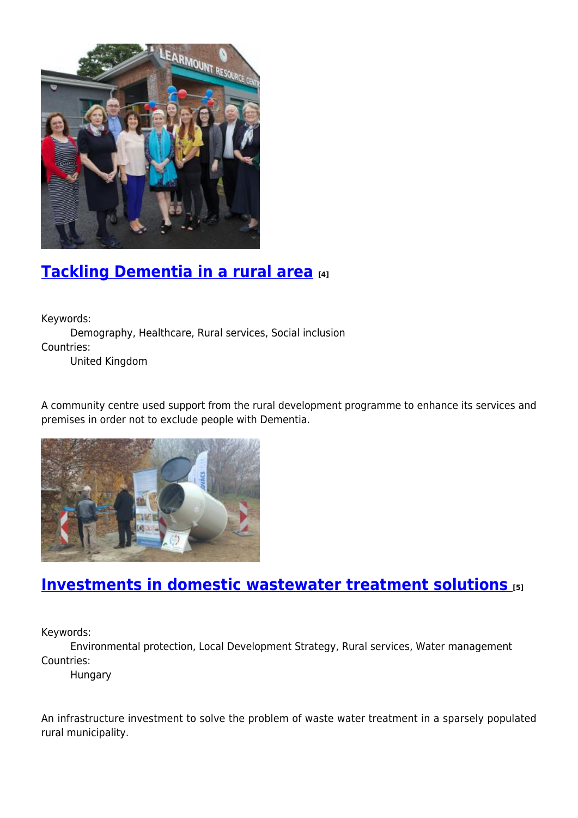

## **[Tackling Dementia in a rural area](https://enrd.ec.europa.eu/projects-practice/tackling-dementia-rural-area_en) [4]**

Keywords:

Demography, Healthcare, Rural services, Social inclusion Countries:

United Kingdom

A community centre used support from the rural development programme to enhance its services and premises in order not to exclude people with Dementia.



# **[Investments in domestic wastewater treatment solutions](https://enrd.ec.europa.eu/projects-practice/investments-domestic-wastewater-treatment-solutions_en) [5]**

Keywords:

Environmental protection, Local Development Strategy, Rural services, Water management Countries:

Hungary

An infrastructure investment to solve the problem of waste water treatment in a sparsely populated rural municipality.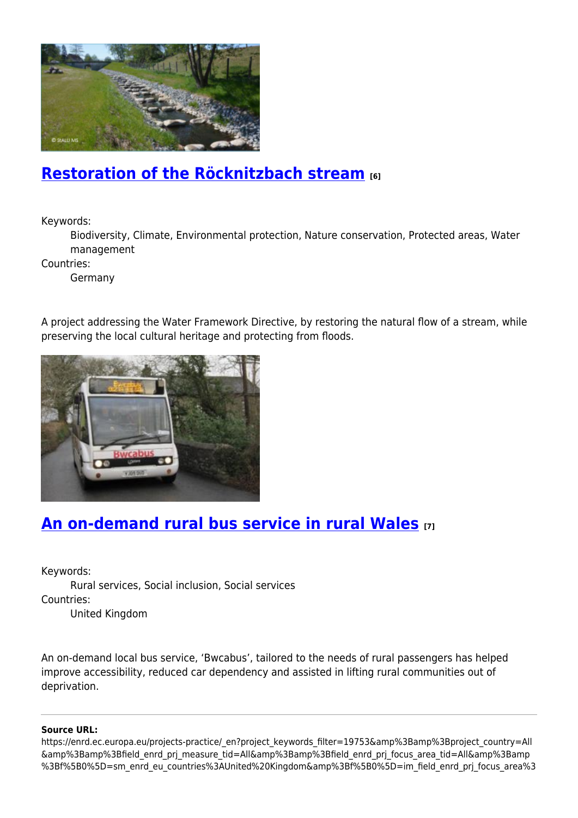

### **[Restoration of the Röcknitzbach stream](https://enrd.ec.europa.eu/projects-practice/restoration-rocknitzbach-stream_en) [6]**

Keywords:

Biodiversity, Climate, Environmental protection, Nature conservation, Protected areas, Water management

Countries:

Germany

A project addressing the Water Framework Directive, by restoring the natural flow of a stream, while preserving the local cultural heritage and protecting from floods.



### **[An on-demand rural bus service in rural Wales](https://enrd.ec.europa.eu/projects-practice/demand-rural-bus-service-rural-wales_en) [7]**

Keywords:

Rural services, Social inclusion, Social services Countries: United Kingdom

An on-demand local bus service, 'Bwcabus', tailored to the needs of rural passengers has helped improve accessibility, reduced car dependency and assisted in lifting rural communities out of deprivation.

#### **Source URL:**

https://enrd.ec.europa.eu/projects-practice/\_en?project\_keywords\_filter=19753&amp%3Bamp%3Bproject\_country=All &amp%3Bamp%3Bfield\_enrd\_prj\_measure\_tid=All&amp%3Bamp%3Bfield\_enrd\_prj\_focus\_area\_tid=All&amp%3Bamp %3Bf%5B0%5D=sm\_enrd\_eu\_countries%3AUnited%20Kingdom&amp%3Bf%5B0%5D=im\_field\_enrd\_prj\_focus\_area%3